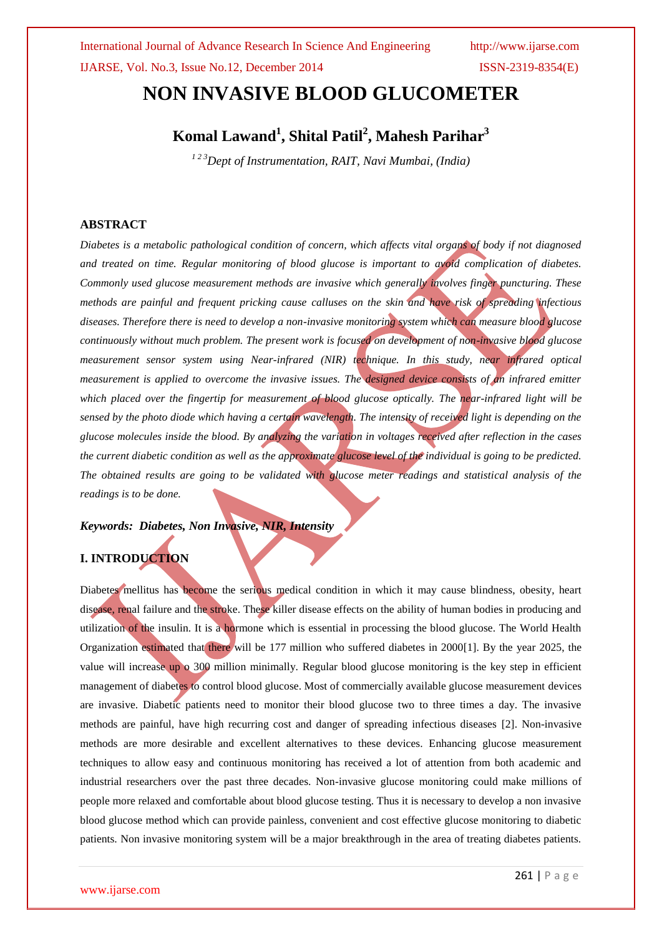# **NON INVASIVE BLOOD GLUCOMETER**

# **Komal Lawand<sup>1</sup> , Shital Patil<sup>2</sup> , Mahesh Parihar<sup>3</sup>**

*<sup>1</sup> 2 3Dept of Instrumentation, RAIT, Navi Mumbai, (India)*

#### **ABSTRACT**

*Diabetes is a metabolic pathological condition of concern, which affects vital organs of body if not diagnosed and treated on time. Regular monitoring of blood glucose is important to avoid complication of diabetes. Commonly used glucose measurement methods are invasive which generally involves finger puncturing. These methods are painful and frequent pricking cause calluses on the skin and have risk of spreading infectious diseases. Therefore there is need to develop a non-invasive monitoring system which can measure blood glucose continuously without much problem. The present work is focused on development of non-invasive blood glucose measurement sensor system using Near-infrared (NIR) technique. In this study, near infrared optical measurement is applied to overcome the invasive issues. The designed device consists of an infrared emitter which placed over the fingertip for measurement of blood glucose optically. The near-infrared light will be sensed by the photo diode which having a certain wavelength. The intensity of received light is depending on the glucose molecules inside the blood. By analyzing the variation in voltages received after reflection in the cases the current diabetic condition as well as the approximate glucose level of the individual is going to be predicted. The obtained results are going to be validated with glucose meter readings and statistical analysis of the readings is to be done.*

#### *Keywords: Diabetes, Non Invasive, NIR, Intensity*

#### **I. INTRODUCTION**

Diabetes mellitus has become the serious medical condition in which it may cause blindness, obesity, heart disease, renal failure and the stroke. These killer disease effects on the ability of human bodies in producing and utilization of the insulin. It is a hormone which is essential in processing the blood glucose. The World Health Organization estimated that there will be 177 million who suffered diabetes in 2000[1]. By the year 2025, the value will increase up o 300 million minimally. Regular blood glucose monitoring is the key step in efficient management of diabetes to control blood glucose. Most of commercially available glucose measurement devices are invasive. Diabetic patients need to monitor their blood glucose two to three times a day. The invasive methods are painful, have high recurring cost and danger of spreading infectious diseases [2]. Non-invasive methods are more desirable and excellent alternatives to these devices. Enhancing glucose measurement techniques to allow easy and continuous monitoring has received a lot of attention from both academic and industrial researchers over the past three decades. Non-invasive glucose monitoring could make millions of people more relaxed and comfortable about blood glucose testing. Thus it is necessary to develop a non invasive blood glucose method which can provide painless, convenient and cost effective glucose monitoring to diabetic patients. Non invasive monitoring system will be a major breakthrough in the area of treating diabetes patients.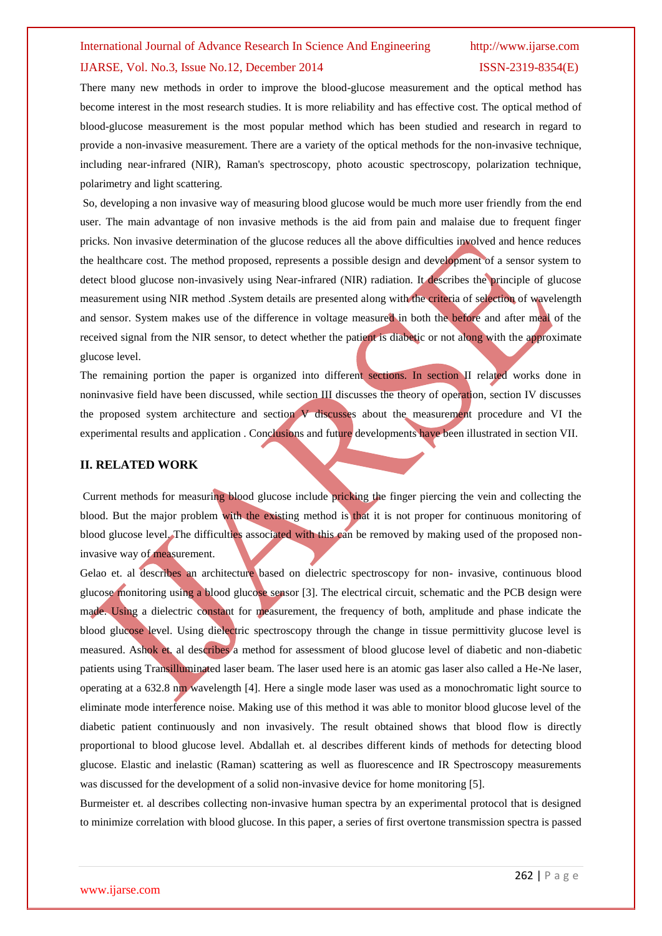There many new methods in order to improve the blood-glucose measurement and the optical method has become interest in the most research studies. It is more reliability and has effective cost. The optical method of blood-glucose measurement is the most popular method which has been studied and research in regard to provide a non-invasive measurement. There are a variety of the optical methods for the non-invasive technique, including near-infrared (NIR), Raman's spectroscopy, photo acoustic spectroscopy, polarization technique, polarimetry and light scattering.

So, developing a non invasive way of measuring blood glucose would be much more user friendly from the end user. The main advantage of non invasive methods is the aid from pain and malaise due to frequent finger pricks. Non invasive determination of the glucose reduces all the above difficulties involved and hence reduces the healthcare cost. The method proposed, represents a possible design and development of a sensor system to detect blood glucose non-invasively using Near-infrared (NIR) radiation. It describes the principle of glucose measurement using NIR method .System details are presented along with the criteria of selection of wavelength and sensor. System makes use of the difference in voltage measured in both the before and after meal of the received signal from the NIR sensor, to detect whether the patient is diabetic or not along with the approximate glucose level.

The remaining portion the paper is organized into different sections. In section II related works done in noninvasive field have been discussed, while section III discusses the theory of operation, section IV discusses the proposed system architecture and section V discusses about the measurement procedure and VI the experimental results and application . Conclusions and future developments have been illustrated in section VII.

#### **II. RELATED WORK**

Current methods for measuring blood glucose include pricking the finger piercing the vein and collecting the blood. But the major problem with the existing method is that it is not proper for continuous monitoring of blood glucose level. The difficulties associated with this can be removed by making used of the proposed noninvasive way of measurement.

Gelao et. al describes an architecture based on dielectric spectroscopy for non- invasive, continuous blood glucose monitoring using a blood glucose sensor [3]. The electrical circuit, schematic and the PCB design were made. Using a dielectric constant for measurement, the frequency of both, amplitude and phase indicate the blood glucose level. Using dielectric spectroscopy through the change in tissue permittivity glucose level is measured. Ashok et. al describes a method for assessment of blood glucose level of diabetic and non-diabetic patients using Transilluminated laser beam. The laser used here is an atomic gas laser also called a He-Ne laser, operating at a 632.8 nm wavelength [4]. Here a single mode laser was used as a monochromatic light source to eliminate mode interference noise. Making use of this method it was able to monitor blood glucose level of the diabetic patient continuously and non invasively. The result obtained shows that blood flow is directly proportional to blood glucose level. Abdallah et. al describes different kinds of methods for detecting blood glucose. Elastic and inelastic (Raman) scattering as well as fluorescence and IR Spectroscopy measurements was discussed for the development of a solid non-invasive device for home monitoring [5].

Burmeister et. al describes collecting non-invasive human spectra by an experimental protocol that is designed to minimize correlation with blood glucose. In this paper, a series of first overtone transmission spectra is passed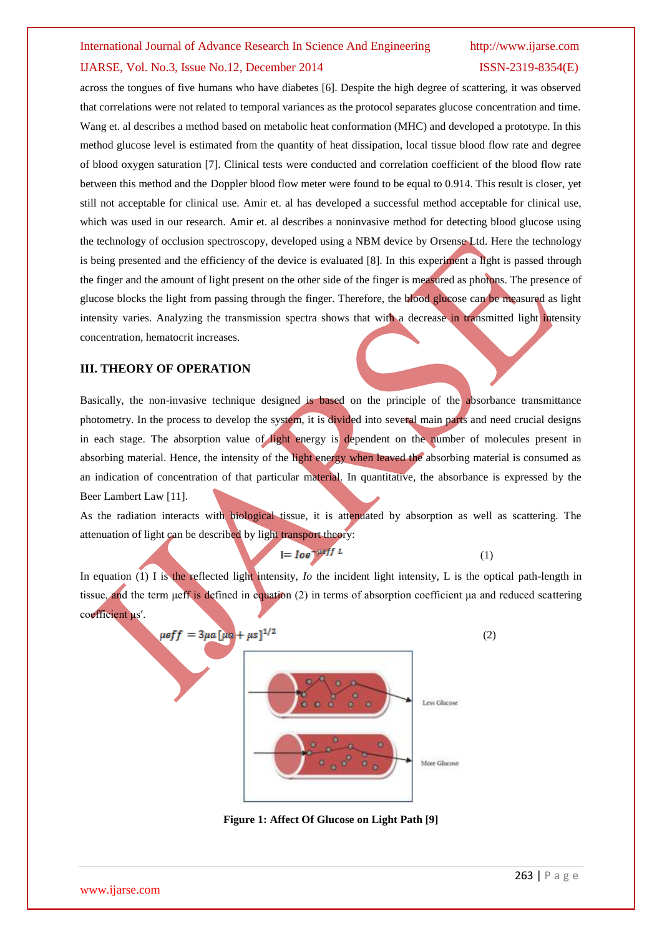across the tongues of five humans who have diabetes [6]. Despite the high degree of scattering, it was observed that correlations were not related to temporal variances as the protocol separates glucose concentration and time. Wang et. al describes a method based on metabolic heat conformation (MHC) and developed a prototype. In this method glucose level is estimated from the quantity of heat dissipation, local tissue blood flow rate and degree of blood oxygen saturation [7]. Clinical tests were conducted and correlation coefficient of the blood flow rate between this method and the Doppler blood flow meter were found to be equal to 0.914. This result is closer, yet still not acceptable for clinical use. Amir et. al has developed a successful method acceptable for clinical use, which was used in our research. Amir et. al describes a noninvasive method for detecting blood glucose using the technology of occlusion spectroscopy, developed using a NBM device by Orsense Ltd. Here the technology is being presented and the efficiency of the device is evaluated [8]. In this experiment a light is passed through the finger and the amount of light present on the other side of the finger is measured as photons. The presence of glucose blocks the light from passing through the finger. Therefore, the blood glucose can be measured as light intensity varies. Analyzing the transmission spectra shows that with a decrease in transmitted light intensity concentration, hematocrit increases.

#### **III. THEORY OF OPERATION**

Basically, the non-invasive technique designed is based on the principle of the absorbance transmittance photometry. In the process to develop the system, it is divided into several main parts and need crucial designs in each stage. The absorption value of light energy is dependent on the number of molecules present in absorbing material. Hence, the intensity of the light energy when leaved the absorbing material is consumed as an indication of concentration of that particular material. In quantitative, the absorbance is expressed by the Beer Lambert Law [11].

As the radiation interacts with biological tissue, it is attenuated by absorption as well as scattering. The attenuation of light can be described by light transport theory:

$$
I = \text{log}^{-\mu\text{eff }L} \tag{1}
$$

In equation (1) I is the reflected light intensity, *Io* the incident light intensity, L is the optical path-length in tissue, and the term μeff is defined in equation (2) in terms of absorption coefficient μa and reduced scattering coefficient μs′.



**Figure 1: Affect Of Glucose on Light Path [9]**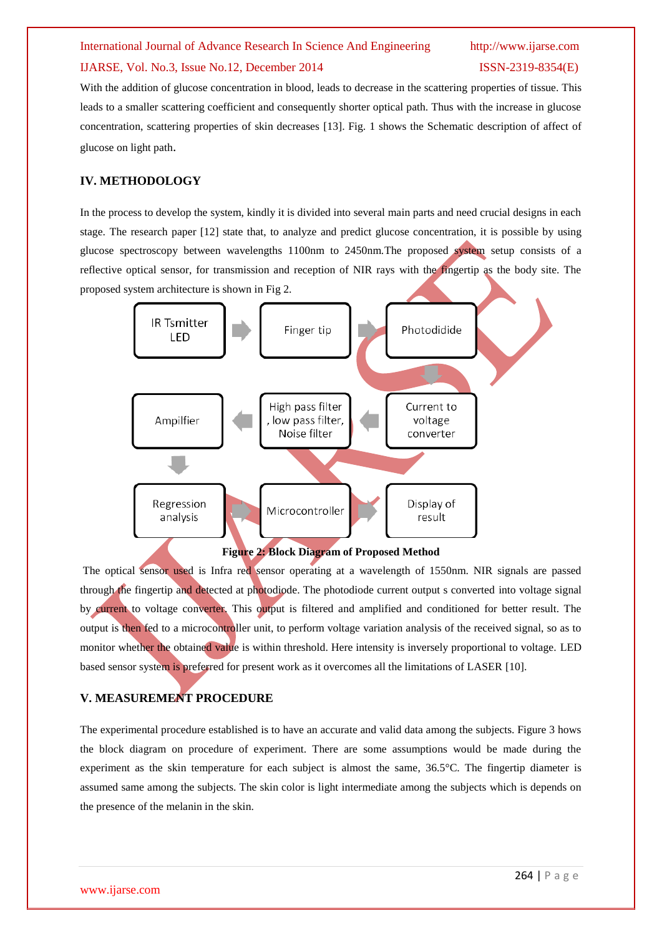With the addition of glucose concentration in blood, leads to decrease in the scattering properties of tissue. This leads to a smaller scattering coefficient and consequently shorter optical path. Thus with the increase in glucose concentration, scattering properties of skin decreases [13]. Fig. 1 shows the Schematic description of affect of glucose on light path.

### **IV. METHODOLOGY**

In the process to develop the system, kindly it is divided into several main parts and need crucial designs in each stage. The research paper [12] state that, to analyze and predict glucose concentration, it is possible by using glucose spectroscopy between wavelengths 1100nm to 2450nm.The proposed system setup consists of a reflective optical sensor, for transmission and reception of NIR rays with the fingertip as the body site. The proposed system architecture is shown in Fig 2.



The optical sensor used is Infra red sensor operating at a wavelength of 1550nm. NIR signals are passed through the fingertip and detected at photodiode. The photodiode current output s converted into voltage signal by current to voltage converter. This output is filtered and amplified and conditioned for better result. The output is then fed to a microcontroller unit, to perform voltage variation analysis of the received signal, so as to monitor whether the obtained value is within threshold. Here intensity is inversely proportional to voltage. LED based sensor system is preferred for present work as it overcomes all the limitations of LASER [10].

## **V. MEASUREMENT PROCEDURE**

The experimental procedure established is to have an accurate and valid data among the subjects. Figure 3 hows the block diagram on procedure of experiment. There are some assumptions would be made during the experiment as the skin temperature for each subject is almost the same, 36.5°C. The fingertip diameter is assumed same among the subjects. The skin color is light intermediate among the subjects which is depends on the presence of the melanin in the skin.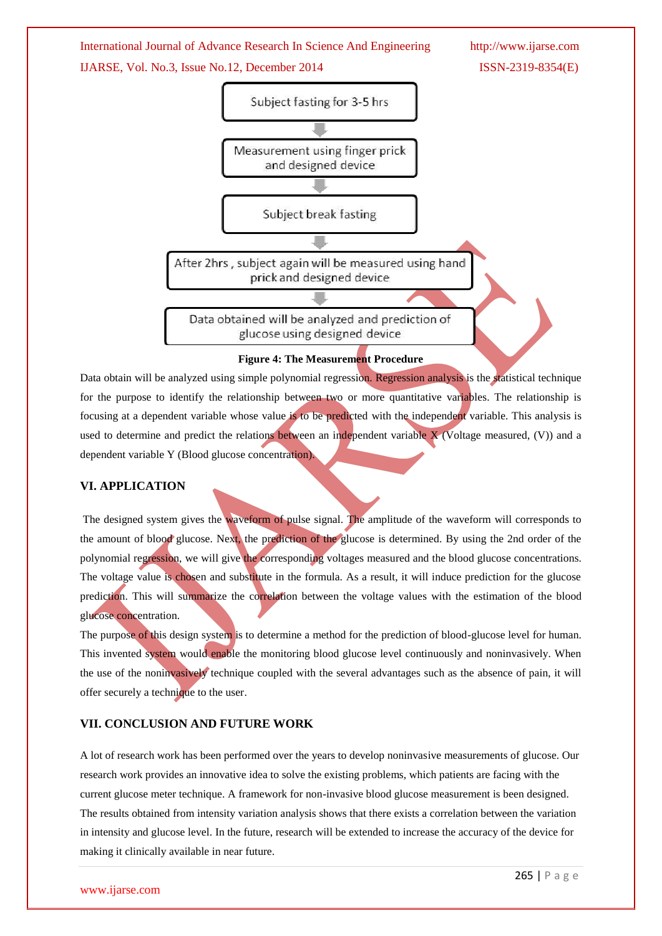

Data obtain will be analyzed using simple polynomial regression. Regression analysis is the statistical technique for the purpose to identify the relationship between two or more quantitative variables. The relationship is focusing at a dependent variable whose value is to be predicted with the independent variable. This analysis is used to determine and predict the relations between an independent variable  $X$  (Voltage measured, (V)) and a dependent variable Y (Blood glucose concentration).

#### **VI. APPLICATION**

The designed system gives the waveform of pulse signal. The amplitude of the waveform will corresponds to the amount of blood glucose. Next, the prediction of the glucose is determined. By using the 2nd order of the polynomial regression, we will give the corresponding voltages measured and the blood glucose concentrations. The voltage value is chosen and substitute in the formula. As a result, it will induce prediction for the glucose prediction. This will summarize the correlation between the voltage values with the estimation of the blood glucose concentration.

The purpose of this design system is to determine a method for the prediction of blood-glucose level for human. This invented system would enable the monitoring blood glucose level continuously and noninvasively. When the use of the noninvasively technique coupled with the several advantages such as the absence of pain, it will offer securely a technique to the user.

#### **VII. CONCLUSION AND FUTURE WORK**

A lot of research work has been performed over the years to develop noninvasive measurements of glucose. Our research work provides an innovative idea to solve the existing problems, which patients are facing with the current glucose meter technique. A framework for non-invasive blood glucose measurement is been designed. The results obtained from intensity variation analysis shows that there exists a correlation between the variation in intensity and glucose level. In the future, research will be extended to increase the accuracy of the device for making it clinically available in near future.